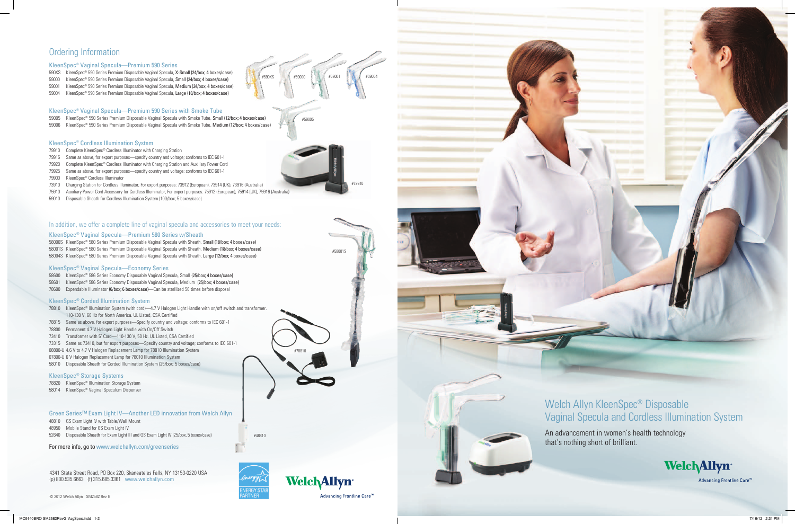4341 State Street Road, PO Box 220, Skaneateles Falls, NY 13153-0220 USA (p) 800.535.6663 (f) 315.685.3361 www.welchallyn.com

© 2012 Welch Allyn SM2582 Rev G



#48810

#58001S



#59005

## Ordering Information

### KleenSpec® Vaginal Specula—Premium 590 Series

- 590XS KleenSpec® 590 Series Premium Disposable Vaginal Specula, X-Small (24/box; 4 boxes/case)
- 59000 KleenSpec® 590 Series Premium Disposable Vaginal Specula, Small (24/box; 4 boxes/case)
- 59001 KleenSpec® 590 Series Premium Disposable Vaginal Specula, Medium (24/box; 4 boxes/case)
- 59004 KleenSpec® 590 Series Premium Disposable Vaginal Specula, Large (18/box; 4 boxes/case)

### KleenSpec® Vaginal Specula—Premium 590 Series with Smoke Tube

- 59005 KleenSpec® 590 Series Premium Disposable Vaginal Specula with Smoke Tube, Small (12/box; 4 boxes/case)
- 59006 KleenSpec® 590 Series Premium Disposable Vaginal Specula with Smoke Tube, Medium (12/box; 4 boxes/case)

#### KleenSpec® Cordless Illumination System

- 79910 Complete KleenSpec® Cordless Illuminator with Charging Station
- 79915 Same as above, for export purposes—specify country and voltage; conforms to IEC 601-1
- 79920 Complete KleenSpec® Cordless Illuminator with Charging Station and Auxiliary Power Cord
- 79925 Same as above, for export purposes—specify country and voltage; conforms to IEC 601-1
- 79900 KleenSpec® Cordless Illuminator
- 73910 Charging Station for Cordless Illuminator; For export purposes: 73912 (European), 73914 (UK), 73916 (Australia)
- 75910 Auxiliary Power Cord Accessory for Cordless Illuminator; For export purposes: 75912 (European), 75914 (UK), 75916 (Australia)
- 59010 Disposable Sheath for Cordless Illumination System (100/box; 5 boxes/case)

### In addition, we offer a complete line of vaginal specula and accessories to meet your needs:

#### KleenSpec® Vaginal Specula—Premium 580 Series w/Sheath

58000S KleenSpec® 580 Series Premium Disposable Vaginal Specula with Sheath, Small (18/box; 4 boxes/case) 58001S KleenSpec® 580 Series Premium Disposable Vaginal Specula with Sheath, Medium (18/box; 4 boxes/case) 58004S KleenSpec® 580 Series Premium Disposable Vaginal Specula with Sheath, Large (12/box; 4 boxes/case)

#### KleenSpec® Vaginal Specula—Economy Series

- 58600 KleenSpec® 586 Series Economy Disposable Vaginal Specula, Small (25/box; 4 boxes/case)
- 58601 KleenSpec® 586 Series Economy Disposable Vaginal Specula, Medium (25/box; 4 boxes/case)
- 78600 Expendable Illuminator (6/box; 6 boxes/case)—Can be sterilized 50 times before disposal

#### KleenSpec® Corded Illumination System

- 78810 KleenSpec® Illumination System (with cord)—4.7 V Halogen Light Handle with on/off switch and transformer. 110-130 V, 60 Hz for North America. UL Listed, CSA Certified
- 78815 Same as above, for export purposes—Specify country and voltage; conforms to IEC 601-1
- 78800 Permanent 4.7 V Halogen Light Handle with On/Off Switch
- 73410 Transformer with 5' Cord—110-130 V, 50 Hz. UL Listed, CSA Certified
- 73315 Same as 73410, but for export purposes—Specify country and voltage; conforms to IEC 601-1
- 08800-U 4.6 V to 4.7 V Halogen Replacement Lamp for 78810 Illumination System
- 07800-U 6 V Halogen Replacement Lamp for 78010 Illumination System
- 58010 Disposable Sheath for Corded Illumination System (25/box; 5 boxes/case)

#### KleenSpec® Storage Systems

- 78820 KleenSpec® Illumination Storage System
- 58014 KleenSpec® Vaginal Speculum Dispenser

### Green Series™ Exam Light IV—Another LED innovation from Welch Allyn

- 48810 GS Exam Light IV with Table/Wall Mount
- 48950 Mobile Stand for GS Exam Light IV

52640 Disposable Sheath for Exam Light III and GS Exam Light IV (25/box, 5 boxes/case)

For more info, go to www.welchallyn.com/greenseries

#79910

#78810

#590XS #59000 #59001 #59004



Advancing Frontline Care™